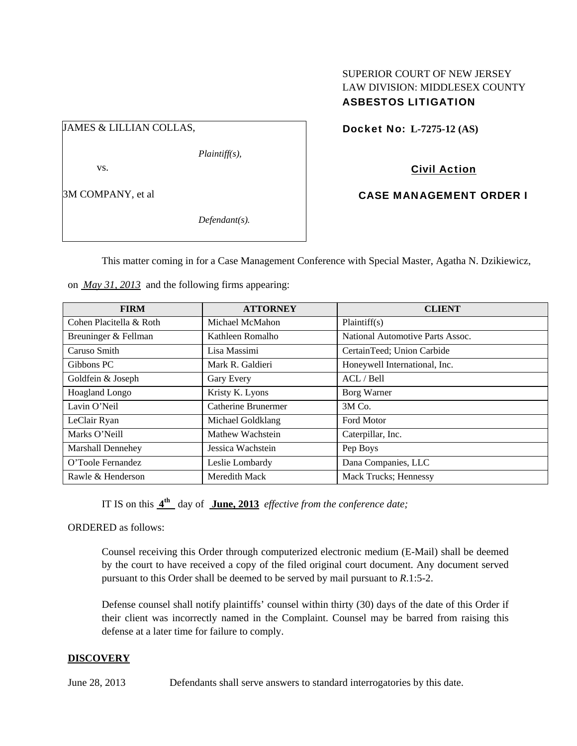## SUPERIOR COURT OF NEW JERSEY LAW DIVISION: MIDDLESEX COUNTY ASBESTOS LITIGATION

JAMES & LILLIAN COLLAS,

*Plaintiff(s),* 

vs.

3M COMPANY, et al

*Defendant(s).* 

Docket No: **L-7275-12 (AS)** 

Civil Action

CASE MANAGEMENT ORDER I

This matter coming in for a Case Management Conference with Special Master, Agatha N. Dzikiewicz,

| <b>FIRM</b>              | <b>ATTORNEY</b>     | <b>CLIENT</b>                    |  |
|--------------------------|---------------------|----------------------------------|--|
| Cohen Placitella & Roth  | Michael McMahon     | Plaintiff(s)                     |  |
| Breuninger & Fellman     | Kathleen Romalho    | National Automotive Parts Assoc. |  |
| Caruso Smith             | Lisa Massimi        | CertainTeed; Union Carbide       |  |
| Gibbons PC               | Mark R. Galdieri    | Honeywell International, Inc.    |  |
| Goldfein & Joseph        | Gary Every          | ACL / Bell                       |  |
| Hoagland Longo           | Kristy K. Lyons     | Borg Warner                      |  |
| Lavin O'Neil             | Catherine Brunermer | 3M Co.                           |  |
| LeClair Ryan             | Michael Goldklang   | <b>Ford Motor</b>                |  |
| Marks O'Neill            | Mathew Wachstein    | Caterpillar, Inc.                |  |
| <b>Marshall Dennehey</b> | Jessica Wachstein   | Pep Boys                         |  |
| O'Toole Fernandez        | Leslie Lombardy     | Dana Companies, LLC              |  |
| Rawle & Henderson        | Meredith Mack       | <b>Mack Trucks</b> ; Hennessy    |  |

on *May 31, 2013* and the following firms appearing:

IT IS on this **4th** day of **June, 2013** *effective from the conference date;*

ORDERED as follows:

Counsel receiving this Order through computerized electronic medium (E-Mail) shall be deemed by the court to have received a copy of the filed original court document. Any document served pursuant to this Order shall be deemed to be served by mail pursuant to *R*.1:5-2.

Defense counsel shall notify plaintiffs' counsel within thirty (30) days of the date of this Order if their client was incorrectly named in the Complaint. Counsel may be barred from raising this defense at a later time for failure to comply.

# **DISCOVERY**

June 28, 2013 Defendants shall serve answers to standard interrogatories by this date.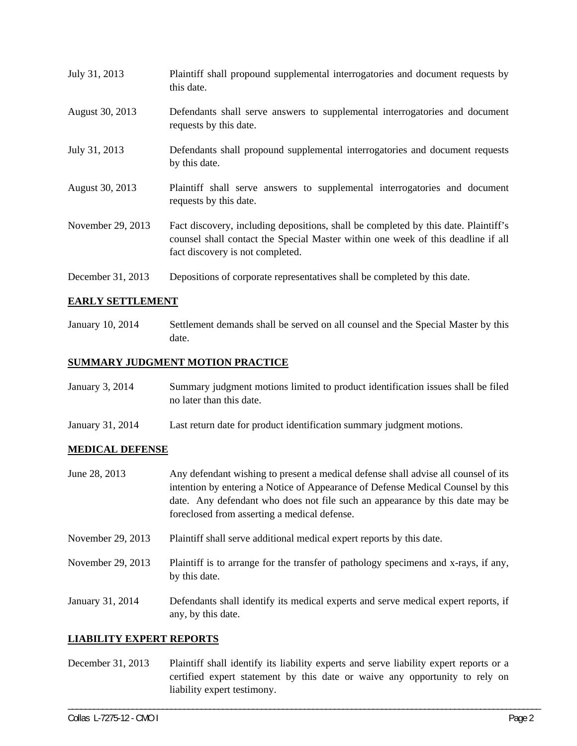| July 31, 2013     | Plaintiff shall propound supplemental interrogatories and document requests by<br>this date.                                                                                                                |
|-------------------|-------------------------------------------------------------------------------------------------------------------------------------------------------------------------------------------------------------|
| August 30, 2013   | Defendants shall serve answers to supplemental interrogatories and document<br>requests by this date.                                                                                                       |
| July 31, 2013     | Defendants shall propound supplemental interrogatories and document requests<br>by this date.                                                                                                               |
| August 30, 2013   | Plaintiff shall serve answers to supplemental interrogatories and document<br>requests by this date.                                                                                                        |
| November 29, 2013 | Fact discovery, including depositions, shall be completed by this date. Plaintiff's<br>counsel shall contact the Special Master within one week of this deadline if all<br>fact discovery is not completed. |
| December 31, 2013 | Depositions of corporate representatives shall be completed by this date.                                                                                                                                   |

### **EARLY SETTLEMENT**

January 10, 2014 Settlement demands shall be served on all counsel and the Special Master by this date.

### **SUMMARY JUDGMENT MOTION PRACTICE**

| January 3, 2014 | Summary judgment motions limited to product identification issues shall be filed |
|-----------------|----------------------------------------------------------------------------------|
|                 | no later than this date.                                                         |

January 31, 2014 Last return date for product identification summary judgment motions.

#### **MEDICAL DEFENSE**

- June 28, 2013 Any defendant wishing to present a medical defense shall advise all counsel of its intention by entering a Notice of Appearance of Defense Medical Counsel by this date. Any defendant who does not file such an appearance by this date may be foreclosed from asserting a medical defense.
- November 29, 2013 Plaintiff shall serve additional medical expert reports by this date.
- November 29, 2013 Plaintiff is to arrange for the transfer of pathology specimens and x-rays, if any, by this date.
- January 31, 2014 Defendants shall identify its medical experts and serve medical expert reports, if any, by this date.

#### **LIABILITY EXPERT REPORTS**

December 31, 2013 Plaintiff shall identify its liability experts and serve liability expert reports or a certified expert statement by this date or waive any opportunity to rely on liability expert testimony.

\_\_\_\_\_\_\_\_\_\_\_\_\_\_\_\_\_\_\_\_\_\_\_\_\_\_\_\_\_\_\_\_\_\_\_\_\_\_\_\_\_\_\_\_\_\_\_\_\_\_\_\_\_\_\_\_\_\_\_\_\_\_\_\_\_\_\_\_\_\_\_\_\_\_\_\_\_\_\_\_\_\_\_\_\_\_\_\_\_\_\_\_\_\_\_\_\_\_\_\_\_\_\_\_\_\_\_\_\_\_